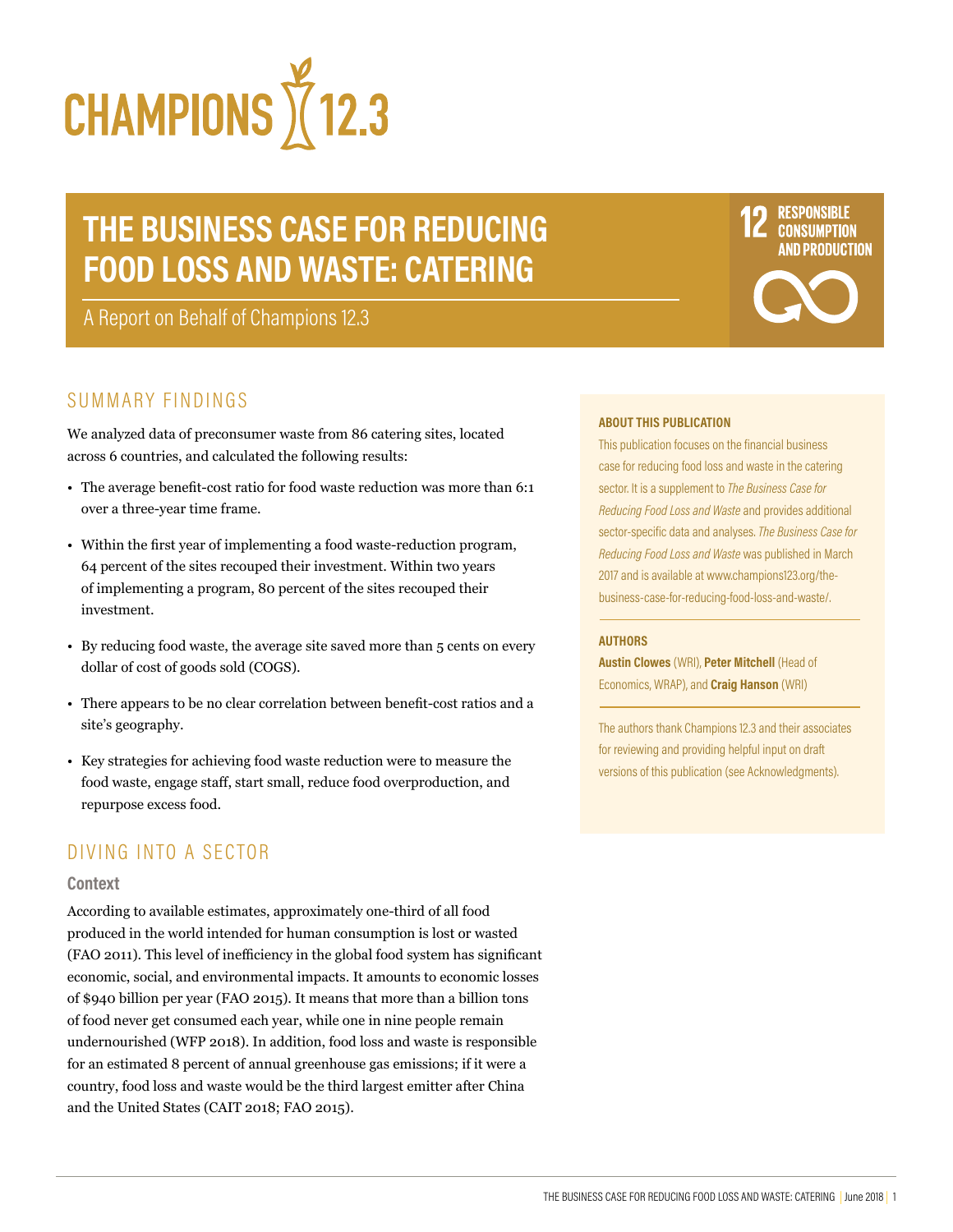

# **THE BUSINESS CASE FOR REDUCING FOOD LOSS AND WASTE: CATERING**

A Report on Behalf of Champions 12.3

# SUMMARY FINDINGS

We analyzed data of preconsumer waste from 86 catering sites, located across 6 countries, and calculated the following results:

- The average benefit-cost ratio for food waste reduction was more than 6:1 over a three-year time frame.
- Within the first year of implementing a food waste-reduction program, 64 percent of the sites recouped their investment. Within two years of implementing a program, 80 percent of the sites recouped their investment.
- By reducing food waste, the average site saved more than 5 cents on every dollar of cost of goods sold (COGS).
- There appears to be no clear correlation between benefit-cost ratios and a site's geography.
- Key strategies for achieving food waste reduction were to measure the food waste, engage staff, start small, reduce food overproduction, and repurpose excess food.

# DIVING INTO A SECTOR

#### **Context**

According to available estimates, approximately one-third of all food produced in the world intended for human consumption is lost or wasted (FAO 2011). This level of inefficiency in the global food system has significant economic, social, and environmental impacts. It amounts to economic losses of \$940 billion per year (FAO 2015). It means that more than a billion tons of food never get consumed each year, while one in nine people remain undernourished (WFP 2018). In addition, food loss and waste is responsible for an estimated 8 percent of annual greenhouse gas emissions; if it were a country, food loss and waste would be the third largest emitter after China and the United States (CAIT 2018; FAO 2015).

**ABOUT THIS PUBLICATION**

This publication focuses on the financial business case for reducing food loss and waste in the catering sector. It is a supplement to *The Business Case for Reducing Food Loss and Waste* and provides additional sector-specific data and analyses. *The Business Case for Reducing Food Loss and Waste* was published in March 2017 and is available at www.champions123.org/thebusiness-case-for-reducing-food-loss-and-waste/.

**RESPONSIBLE CONSUMPTION ND PRODUCTION** 

#### **AUTHORS**

**Austin Clowes** (WRI), **Peter Mitchell** (Head of Economics, WRAP), and **Craig Hanson** (WRI)

The authors thank Champions 12.3 and their associates for reviewing and providing helpful input on draft versions of this publication (see Acknowledgments).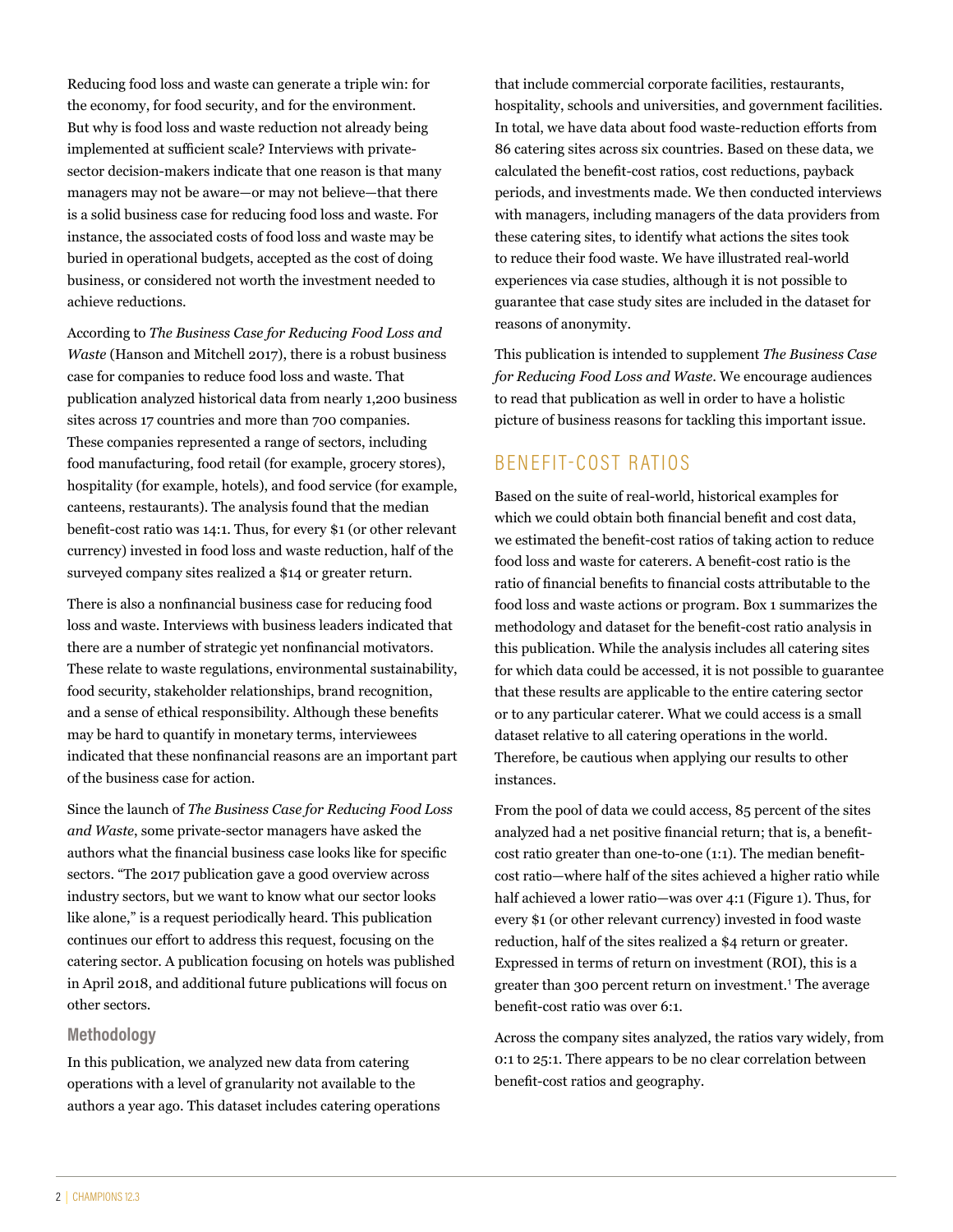Reducing food loss and waste can generate a triple win: for the economy, for food security, and for the environment. But why is food loss and waste reduction not already being implemented at sufficient scale? Interviews with privatesector decision-makers indicate that one reason is that many managers may not be aware—or may not believe—that there is a solid business case for reducing food loss and waste. For instance, the associated costs of food loss and waste may be buried in operational budgets, accepted as the cost of doing business, or considered not worth the investment needed to achieve reductions.

According to *The Business Case for Reducing Food Loss and Waste* (Hanson and Mitchell 2017), there is a robust business case for companies to reduce food loss and waste. That publication analyzed historical data from nearly 1,200 business sites across 17 countries and more than 700 companies. These companies represented a range of sectors, including food manufacturing, food retail (for example, grocery stores), hospitality (for example, hotels), and food service (for example, canteens, restaurants). The analysis found that the median benefit-cost ratio was 14:1. Thus, for every \$1 (or other relevant currency) invested in food loss and waste reduction, half of the surveyed company sites realized a \$14 or greater return.

There is also a nonfinancial business case for reducing food loss and waste. Interviews with business leaders indicated that there are a number of strategic yet nonfinancial motivators. These relate to waste regulations, environmental sustainability, food security, stakeholder relationships, brand recognition, and a sense of ethical responsibility. Although these benefits may be hard to quantify in monetary terms, interviewees indicated that these nonfinancial reasons are an important part of the business case for action.

Since the launch of *The Business Case for Reducing Food Loss and Waste*, some private-sector managers have asked the authors what the financial business case looks like for specific sectors. "The 2017 publication gave a good overview across industry sectors, but we want to know what our sector looks like alone," is a request periodically heard. This publication continues our effort to address this request, focusing on the catering sector. A publication focusing on hotels was published in April 2018, and additional future publications will focus on other sectors.

#### **Methodology**

In this publication, we analyzed new data from catering operations with a level of granularity not available to the authors a year ago. This dataset includes catering operations that include commercial corporate facilities, restaurants, hospitality, schools and universities, and government facilities. In total, we have data about food waste-reduction efforts from 86 catering sites across six countries. Based on these data, we calculated the benefit-cost ratios, cost reductions, payback periods, and investments made. We then conducted interviews with managers, including managers of the data providers from these catering sites, to identify what actions the sites took to reduce their food waste. We have illustrated real-world experiences via case studies, although it is not possible to guarantee that case study sites are included in the dataset for reasons of anonymity.

This publication is intended to supplement *The Business Case for Reducing Food Loss and Waste*. We encourage audiences to read that publication as well in order to have a holistic picture of business reasons for tackling this important issue.

# BENEFIT-COST RATIOS

Based on the suite of real-world, historical examples for which we could obtain both financial benefit and cost data, we estimated the benefit-cost ratios of taking action to reduce food loss and waste for caterers. A benefit-cost ratio is the ratio of financial benefits to financial costs attributable to the food loss and waste actions or program. Box 1 summarizes the methodology and dataset for the benefit-cost ratio analysis in this publication. While the analysis includes all catering sites for which data could be accessed, it is not possible to guarantee that these results are applicable to the entire catering sector or to any particular caterer. What we could access is a small dataset relative to all catering operations in the world. Therefore, be cautious when applying our results to other instances.

From the pool of data we could access, 85 percent of the sites analyzed had a net positive financial return; that is, a benefitcost ratio greater than one-to-one (1:1). The median benefitcost ratio—where half of the sites achieved a higher ratio while half achieved a lower ratio—was over 4:1 (Figure 1). Thus, for every \$1 (or other relevant currency) invested in food waste reduction, half of the sites realized a \$4 return or greater. Expressed in terms of return on investment (ROI), this is a greater than 300 percent return on investment.<sup>1</sup> The average benefit-cost ratio was over 6:1.

Across the company sites analyzed, the ratios vary widely, from 0:1 to 25:1. There appears to be no clear correlation between benefit-cost ratios and geography.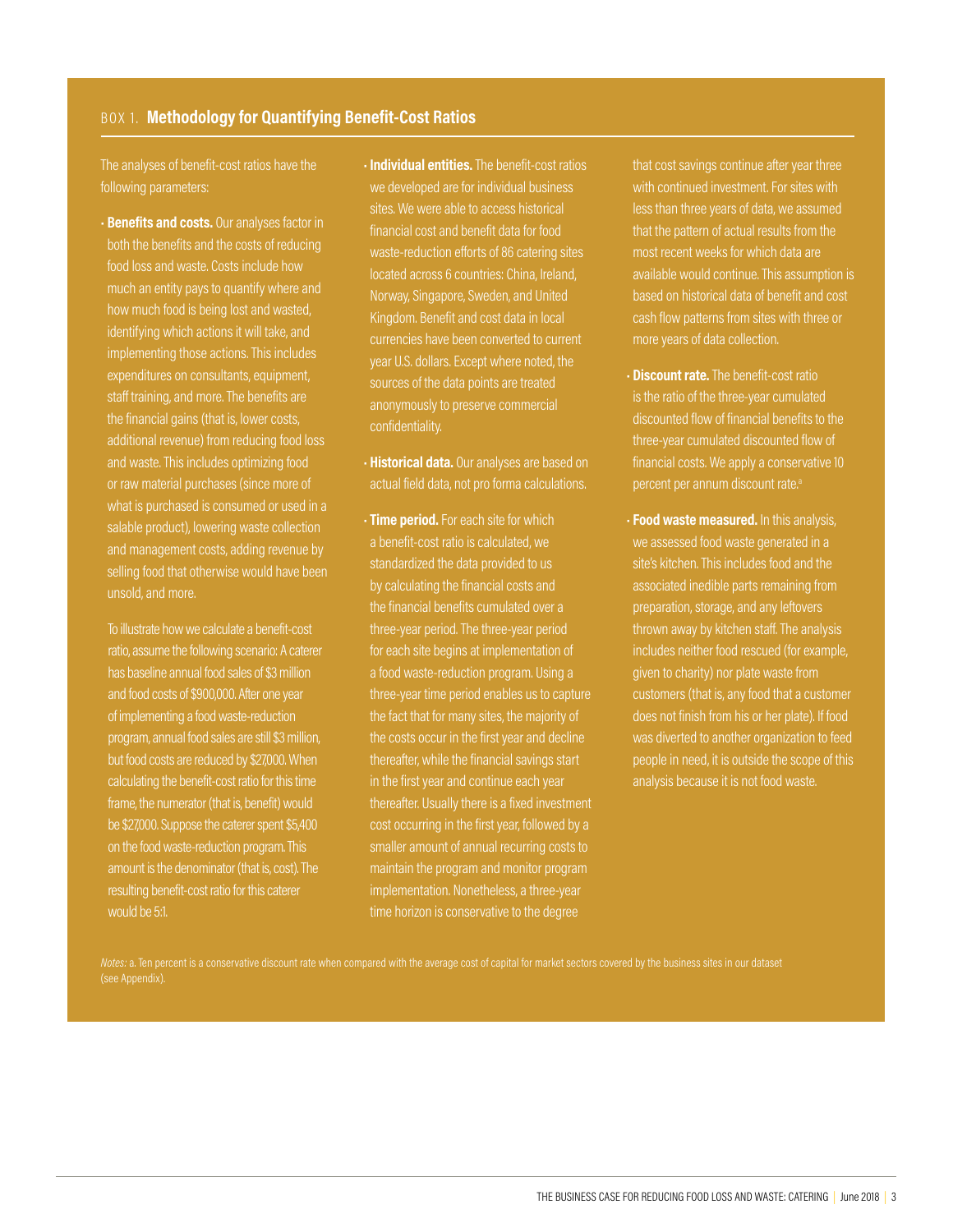#### BOX 1. **Methodology for Quantifying Benefit-Cost Ratios**

The analyses of benefit-cost ratios have the following parameters:

• **Benefits and costs.** Our analyses factor in both the benefits and the costs of reducing food loss and waste. Costs include how much an entity pays to quantify where and how much food is being lost and wasted, identifying which actions it will take, and implementing those actions. This includes expenditures on consultants, equipment, staff training, and more. The benefits are the financial gains (that is, lower costs, additional revenue) from reducing food loss and waste. This includes optimizing food or raw material purchases (since more of what is purchased is consumed or used in a salable product), lowering waste collection and management costs, adding revenue by selling food that otherwise would have been unsold, and more.

To illustrate how we calculate a benefit-cost ratio, assume the following scenario: A caterer has baseline annual food sales of \$3 million and food costs of \$900,000. After one year of implementing a food waste-reduction program, annual food sales are still \$3 million, but food costs are reduced by \$27,000. When calculating the benefit-cost ratio for this time frame, the numerator (that is, benefit) would be \$27,000. Suppose the caterer spent \$5,400 on the food waste-reduction program. This amount is the denominator (that is, cost). The resulting benefit-cost ratio for this caterer would be 5:1.

- **Individual entities.** The benefit-cost ratios we developed are for individual business sites. We were able to access historical financial cost and benefit data for food waste-reduction efforts of 86 catering sites located across 6 countries: China, Ireland, Norway, Singapore, Sweden, and United Kingdom. Benefit and cost data in local currencies have been converted to current year U.S. dollars. Except where noted, the sources of the data points are treated anonymously to preserve commercial
- **Historical data.** Our analyses are based on actual field data, not pro forma calculations.
- **Time period.** For each site for which a benefit-cost ratio is calculated, we standardized the data provided to us by calculating the financial costs and the financial benefits cumulated over a three-year period. The three-year period for each site begins at implementation of a food waste-reduction program. Using a three-year time period enables us to capture the fact that for many sites, the majority of the costs occur in the first year and decline thereafter, while the financial savings start in the first year and continue each year thereafter. Usually there is a fixed investment cost occurring in the first year, followed by a smaller amount of annual recurring costs to maintain the program and monitor program implementation. Nonetheless, a three-year time horizon is conservative to the degree

that cost savings continue after year three with continued investment. For sites with less than three years of data, we assumed that the pattern of actual results from the most recent weeks for which data are available would continue. This assumption is based on historical data of benefit and cost cash flow patterns from sites with three or more years of data collection.

- **Discount rate.** The benefit-cost ratio is the ratio of the three-year cumulated discounted flow of financial benefits to the three-year cumulated discounted flow of financial costs. We apply a conservative 10 percent per annum discount rate.<sup>a</sup>
- **Food waste measured.** In this analysis, we assessed food waste generated in a site's kitchen. This includes food and the associated inedible parts remaining from preparation, storage, and any leftovers thrown away by kitchen staff. The analysis includes neither food rescued (for example, given to charity) nor plate waste from customers (that is, any food that a customer does not finish from his or her plate). If food was diverted to another organization to feed people in need, it is outside the scope of this analysis because it is not food waste.

(see Appendix).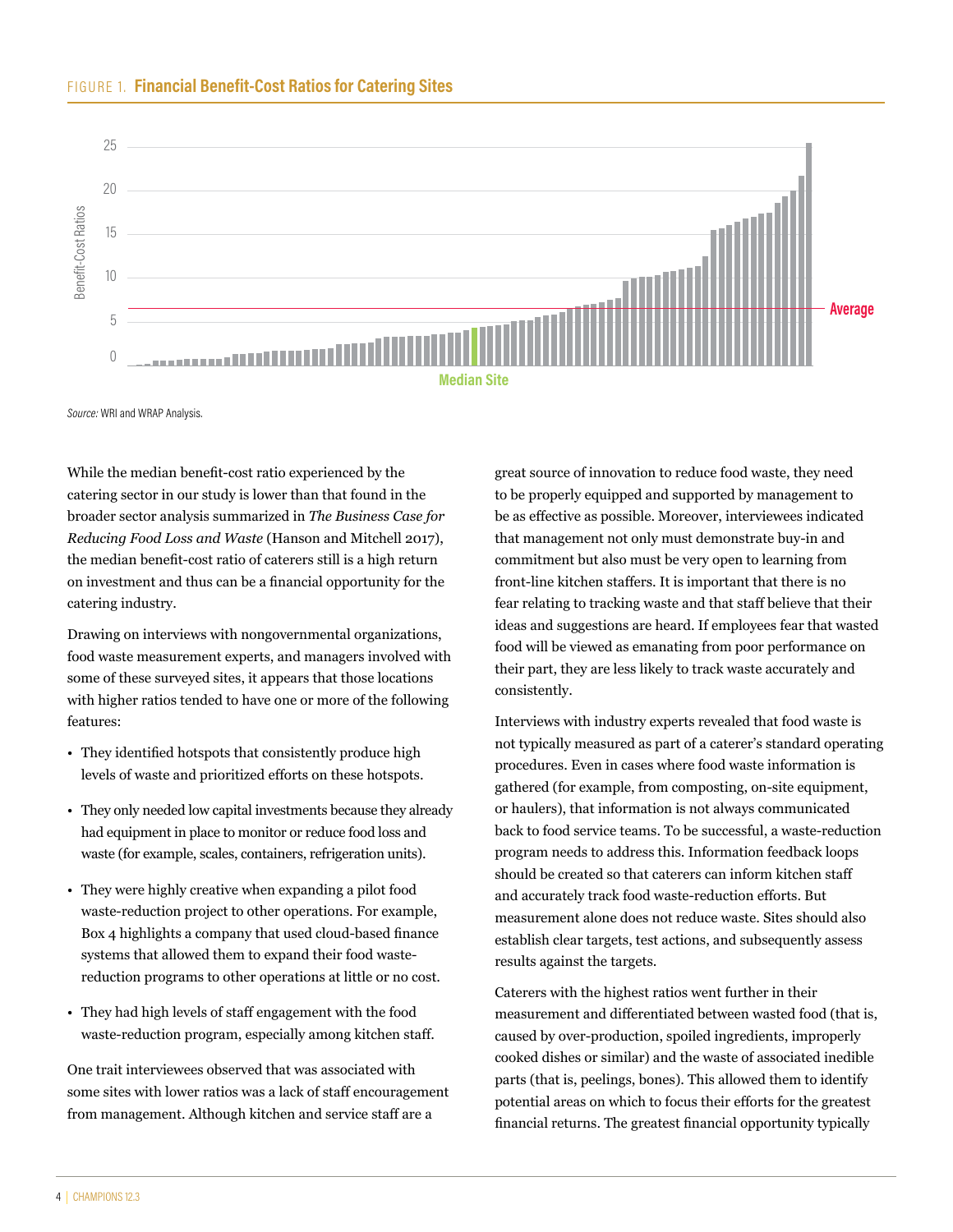



Source: WRI and WRAP Analysis.

While the median benefit-cost ratio experienced by the catering sector in our study is lower than that found in the broader sector analysis summarized in *The Business Case for Reducing Food Loss and Waste* (Hanson and Mitchell 2017), the median benefit-cost ratio of caterers still is a high return on investment and thus can be a financial opportunity for the catering industry.

Drawing on interviews with nongovernmental organizations, food waste measurement experts, and managers involved with some of these surveyed sites, it appears that those locations with higher ratios tended to have one or more of the following features:

- They identified hotspots that consistently produce high levels of waste and prioritized efforts on these hotspots.
- They only needed low capital investments because they already had equipment in place to monitor or reduce food loss and waste (for example, scales, containers, refrigeration units).
- They were highly creative when expanding a pilot food waste-reduction project to other operations. For example, Box 4 highlights a company that used cloud-based finance systems that allowed them to expand their food wastereduction programs to other operations at little or no cost.
- They had high levels of staff engagement with the food waste-reduction program, especially among kitchen staff.

One trait interviewees observed that was associated with some sites with lower ratios was a lack of staff encouragement from management. Although kitchen and service staff are a

great source of innovation to reduce food waste, they need to be properly equipped and supported by management to be as effective as possible. Moreover, interviewees indicated that management not only must demonstrate buy-in and commitment but also must be very open to learning from front-line kitchen staffers. It is important that there is no fear relating to tracking waste and that staff believe that their ideas and suggestions are heard. If employees fear that wasted food will be viewed as emanating from poor performance on their part, they are less likely to track waste accurately and consistently.

Interviews with industry experts revealed that food waste is not typically measured as part of a caterer's standard operating procedures. Even in cases where food waste information is gathered (for example, from composting, on-site equipment, or haulers), that information is not always communicated back to food service teams. To be successful, a waste-reduction program needs to address this. Information feedback loops should be created so that caterers can inform kitchen staff and accurately track food waste-reduction efforts. But measurement alone does not reduce waste. Sites should also establish clear targets, test actions, and subsequently assess results against the targets.

Caterers with the highest ratios went further in their measurement and differentiated between wasted food (that is, caused by over-production, spoiled ingredients, improperly cooked dishes or similar) and the waste of associated inedible parts (that is, peelings, bones). This allowed them to identify potential areas on which to focus their efforts for the greatest financial returns. The greatest financial opportunity typically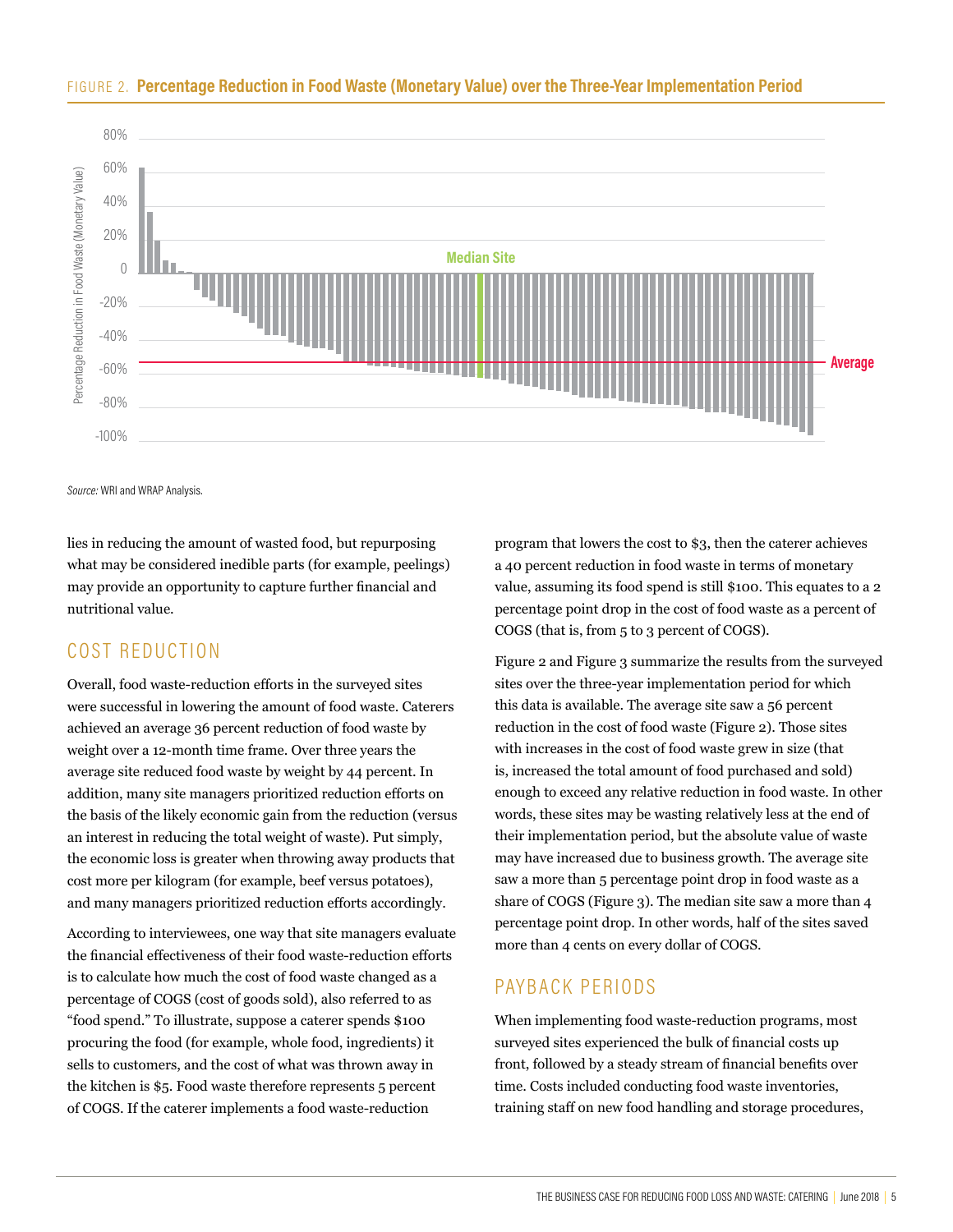

#### FIGURE 2. **Percentage Reduction in Food Waste (Monetary Value) over the Three-Year Implementation Period**

*Source:* WRI and WRAP Analysis.

lies in reducing the amount of wasted food, but repurposing what may be considered inedible parts (for example, peelings) may provide an opportunity to capture further financial and nutritional value.

# COST REDUCTION

Overall, food waste-reduction efforts in the surveyed sites were successful in lowering the amount of food waste. Caterers achieved an average 36 percent reduction of food waste by weight over a 12-month time frame. Over three years the average site reduced food waste by weight by 44 percent. In addition, many site managers prioritized reduction efforts on the basis of the likely economic gain from the reduction (versus an interest in reducing the total weight of waste). Put simply, the economic loss is greater when throwing away products that cost more per kilogram (for example, beef versus potatoes), and many managers prioritized reduction efforts accordingly.

According to interviewees, one way that site managers evaluate the financial effectiveness of their food waste-reduction efforts is to calculate how much the cost of food waste changed as a percentage of COGS (cost of goods sold), also referred to as "food spend." To illustrate, suppose a caterer spends \$100 procuring the food (for example, whole food, ingredients) it sells to customers, and the cost of what was thrown away in the kitchen is \$5. Food waste therefore represents 5 percent of COGS. If the caterer implements a food waste-reduction

program that lowers the cost to \$3, then the caterer achieves a 40 percent reduction in food waste in terms of monetary value, assuming its food spend is still \$100. This equates to a 2 percentage point drop in the cost of food waste as a percent of COGS (that is, from 5 to 3 percent of COGS).

Figure 2 and Figure 3 summarize the results from the surveyed sites over the three-year implementation period for which this data is available. The average site saw a 56 percent reduction in the cost of food waste (Figure 2). Those sites with increases in the cost of food waste grew in size (that is, increased the total amount of food purchased and sold) enough to exceed any relative reduction in food waste. In other words, these sites may be wasting relatively less at the end of their implementation period, but the absolute value of waste may have increased due to business growth. The average site saw a more than 5 percentage point drop in food waste as a share of COGS (Figure 3). The median site saw a more than 4 percentage point drop. In other words, half of the sites saved more than 4 cents on every dollar of COGS.

# PAYBACK PERIODS

When implementing food waste-reduction programs, most surveyed sites experienced the bulk of financial costs up front, followed by a steady stream of financial benefits over time. Costs included conducting food waste inventories, training staff on new food handling and storage procedures,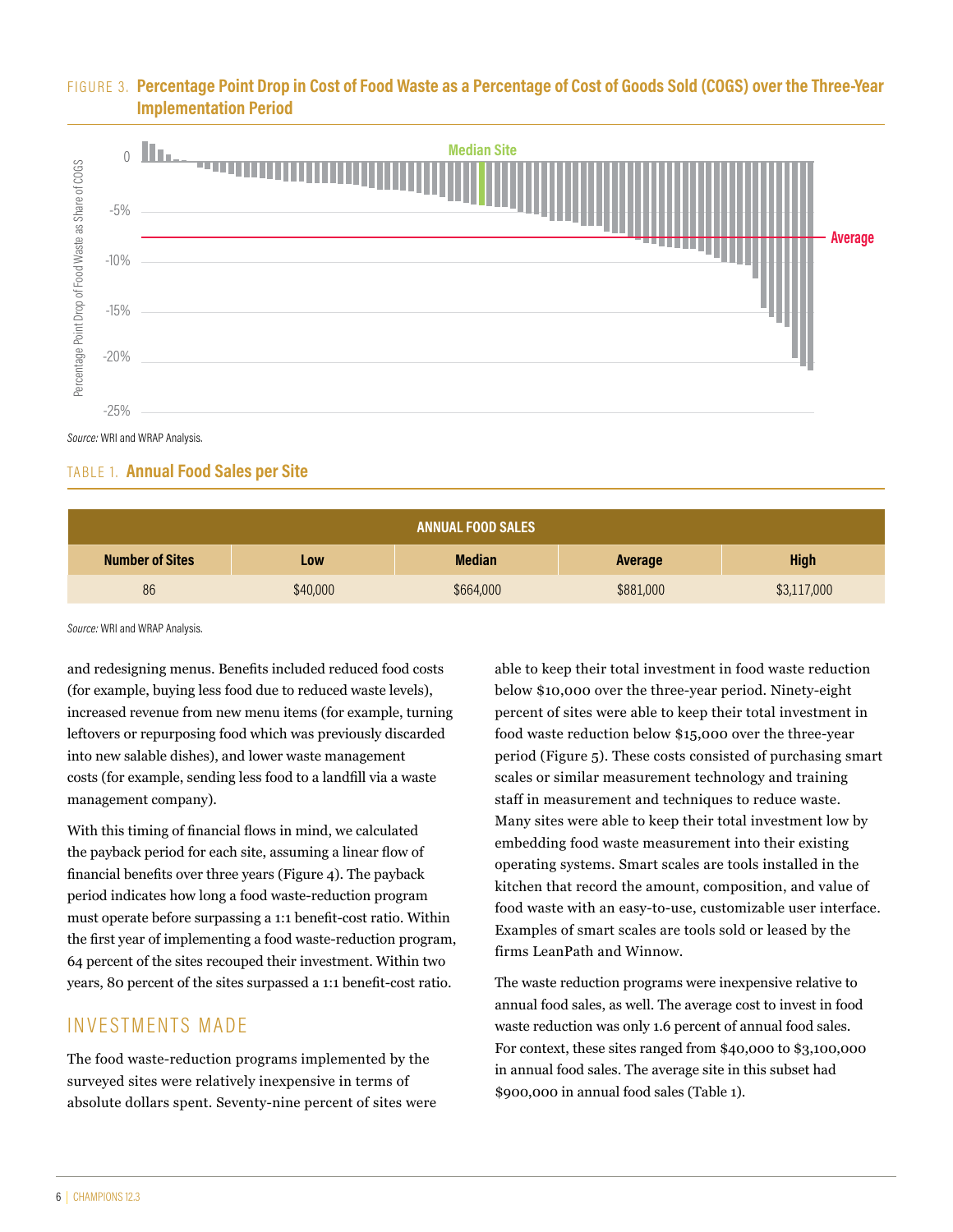### FIGURE 3. **Percentage Point Drop in Cost of Food Waste as a Percentage of Cost of Goods Sold (COGS) over the Three-Year Implementation Period**



*Source:* WRI and WRAP Analysis.

#### TABLE 1. **Annual Food Sales per Site**

| <b>ANNUAL FOOD SALES</b> |          |               |           |             |
|--------------------------|----------|---------------|-----------|-------------|
| <b>Number of Sites</b>   | Low      | <b>Median</b> | Average   | <b>High</b> |
| 86                       | \$40,000 | \$664,000     | \$881,000 | \$3,117,000 |

*Source:* WRI and WRAP Analysis.

and redesigning menus. Benefits included reduced food costs (for example, buying less food due to reduced waste levels), increased revenue from new menu items (for example, turning leftovers or repurposing food which was previously discarded into new salable dishes), and lower waste management costs (for example, sending less food to a landfill via a waste management company).

With this timing of financial flows in mind, we calculated the payback period for each site, assuming a linear flow of financial benefits over three years (Figure 4). The payback period indicates how long a food waste-reduction program must operate before surpassing a 1:1 benefit-cost ratio. Within the first year of implementing a food waste-reduction program, 64 percent of the sites recouped their investment. Within two years, 80 percent of the sites surpassed a 1:1 benefit-cost ratio.

# INVESTMENTS MADE

The food waste-reduction programs implemented by the surveyed sites were relatively inexpensive in terms of absolute dollars spent. Seventy-nine percent of sites were

able to keep their total investment in food waste reduction below \$10,000 over the three-year period. Ninety-eight percent of sites were able to keep their total investment in food waste reduction below \$15,000 over the three-year period (Figure 5). These costs consisted of purchasing smart scales or similar measurement technology and training staff in measurement and techniques to reduce waste. Many sites were able to keep their total investment low by embedding food waste measurement into their existing operating systems. Smart scales are tools installed in the kitchen that record the amount, composition, and value of food waste with an easy-to-use, customizable user interface. Examples of smart scales are tools sold or leased by the firms LeanPath and Winnow.

The waste reduction programs were inexpensive relative to annual food sales, as well. The average cost to invest in food waste reduction was only 1.6 percent of annual food sales. For context, these sites ranged from \$40,000 to \$3,100,000 in annual food sales. The average site in this subset had \$900,000 in annual food sales (Table 1).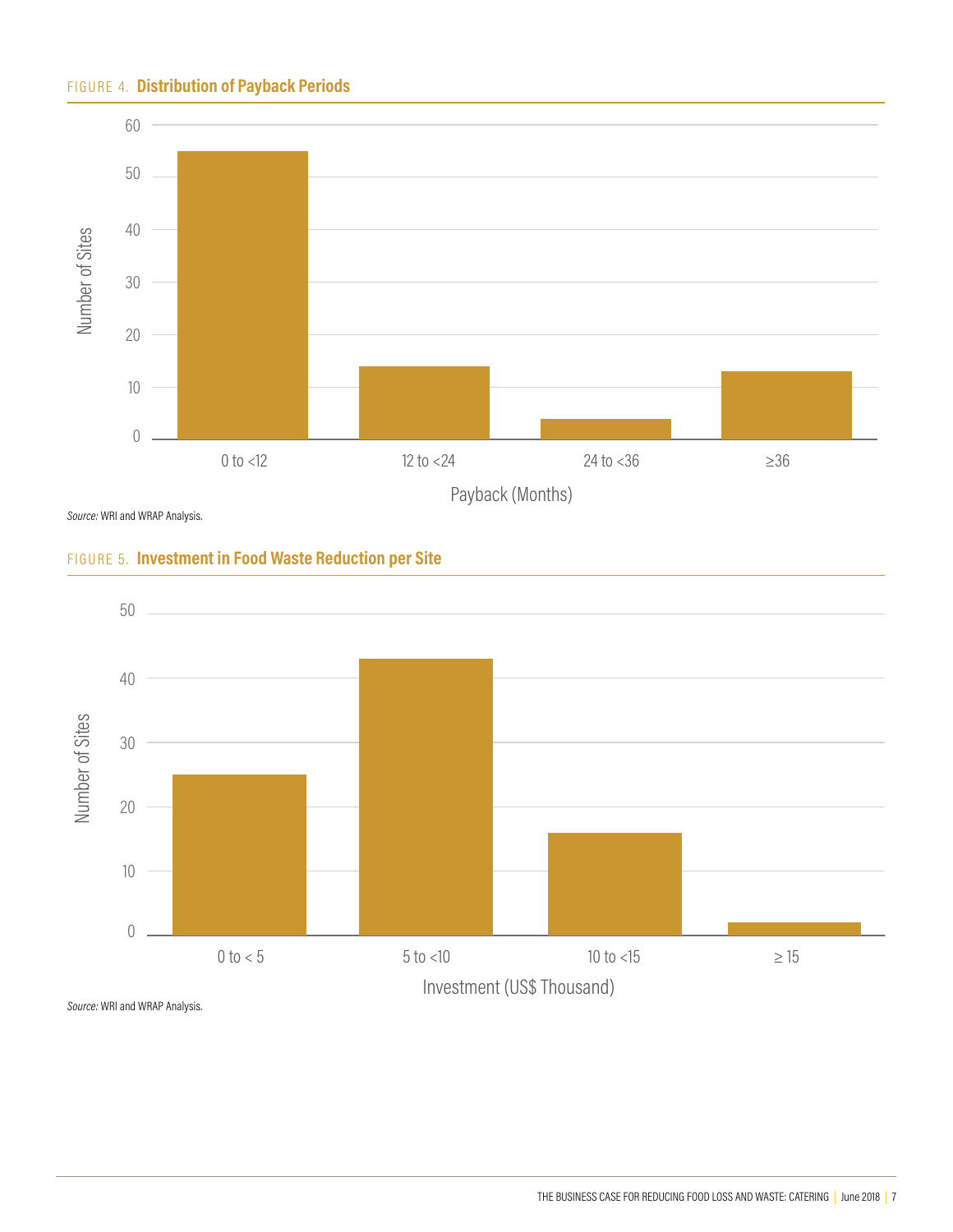### FIGURE 4. **Distribution of Payback Periods**



*Source:* WRI and WRAP Analysis.

![](_page_6_Figure_3.jpeg)

![](_page_6_Figure_4.jpeg)

*Source:* WRI and WRAP Analysis.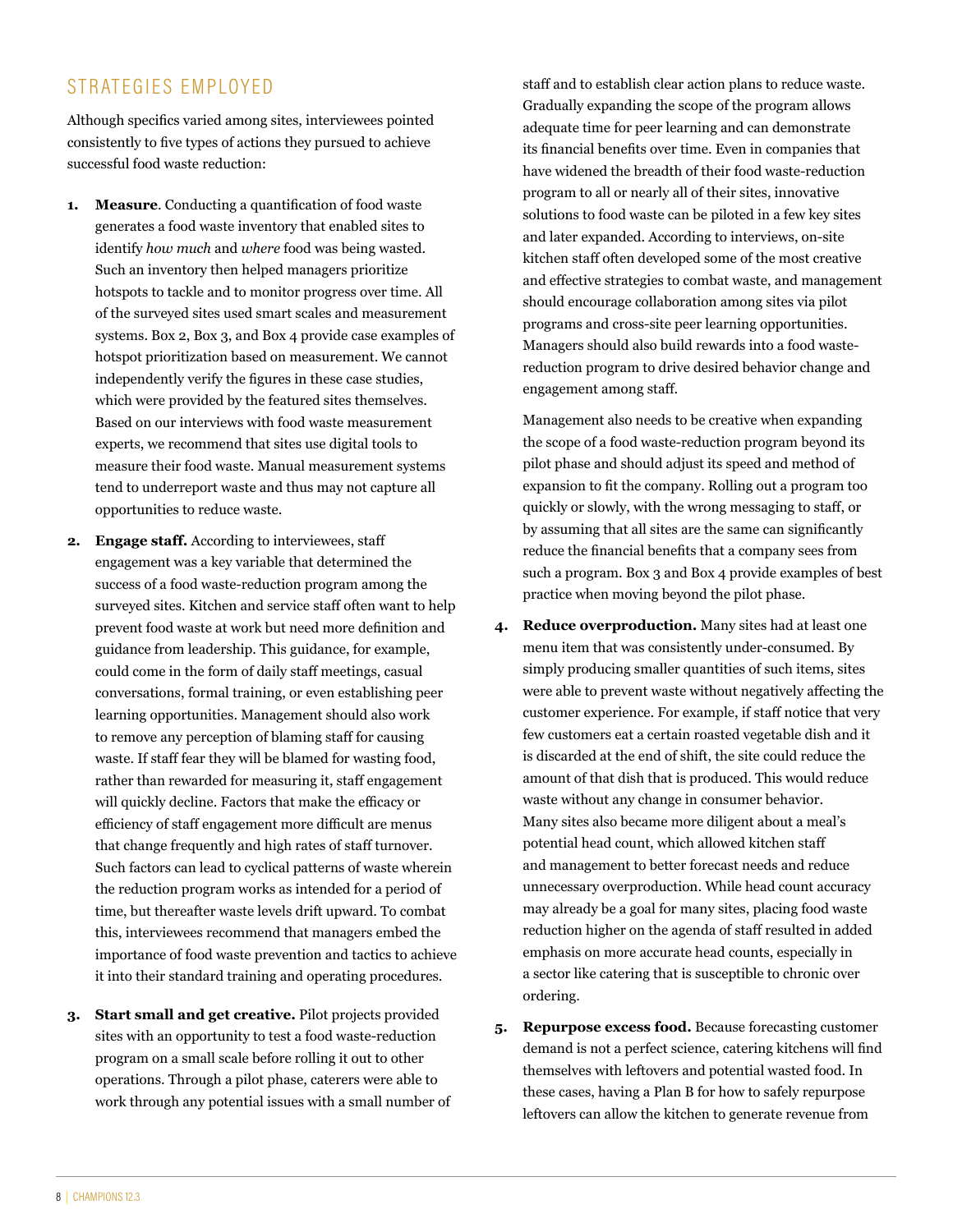# STRATEGIES EMPLOYED

Although specifics varied among sites, interviewees pointed consistently to five types of actions they pursued to achieve successful food waste reduction:

- **1. Measure**. Conducting a quantification of food waste generates a food waste inventory that enabled sites to identify *how much* and *where* food was being wasted. Such an inventory then helped managers prioritize hotspots to tackle and to monitor progress over time. All of the surveyed sites used smart scales and measurement systems. Box 2, Box 3, and Box 4 provide case examples of hotspot prioritization based on measurement. We cannot independently verify the figures in these case studies, which were provided by the featured sites themselves. Based on our interviews with food waste measurement experts, we recommend that sites use digital tools to measure their food waste. Manual measurement systems tend to underreport waste and thus may not capture all opportunities to reduce waste.
- **2. Engage staff.** According to interviewees, staff engagement was a key variable that determined the success of a food waste-reduction program among the surveyed sites. Kitchen and service staff often want to help prevent food waste at work but need more definition and guidance from leadership. This guidance, for example, could come in the form of daily staff meetings, casual conversations, formal training, or even establishing peer learning opportunities. Management should also work to remove any perception of blaming staff for causing waste. If staff fear they will be blamed for wasting food, rather than rewarded for measuring it, staff engagement will quickly decline. Factors that make the efficacy or efficiency of staff engagement more difficult are menus that change frequently and high rates of staff turnover. Such factors can lead to cyclical patterns of waste wherein the reduction program works as intended for a period of time, but thereafter waste levels drift upward. To combat this, interviewees recommend that managers embed the importance of food waste prevention and tactics to achieve it into their standard training and operating procedures.
- **3. Start small and get creative.** Pilot projects provided sites with an opportunity to test a food waste-reduction program on a small scale before rolling it out to other operations. Through a pilot phase, caterers were able to work through any potential issues with a small number of

staff and to establish clear action plans to reduce waste. Gradually expanding the scope of the program allows adequate time for peer learning and can demonstrate its financial benefits over time. Even in companies that have widened the breadth of their food waste-reduction program to all or nearly all of their sites, innovative solutions to food waste can be piloted in a few key sites and later expanded. According to interviews, on-site kitchen staff often developed some of the most creative and effective strategies to combat waste, and management should encourage collaboration among sites via pilot programs and cross-site peer learning opportunities. Managers should also build rewards into a food wastereduction program to drive desired behavior change and engagement among staff.

Management also needs to be creative when expanding the scope of a food waste-reduction program beyond its pilot phase and should adjust its speed and method of expansion to fit the company. Rolling out a program too quickly or slowly, with the wrong messaging to staff, or by assuming that all sites are the same can significantly reduce the financial benefits that a company sees from such a program. Box 3 and Box 4 provide examples of best practice when moving beyond the pilot phase.

- **4. Reduce overproduction.** Many sites had at least one menu item that was consistently under-consumed. By simply producing smaller quantities of such items, sites were able to prevent waste without negatively affecting the customer experience. For example, if staff notice that very few customers eat a certain roasted vegetable dish and it is discarded at the end of shift, the site could reduce the amount of that dish that is produced. This would reduce waste without any change in consumer behavior. Many sites also became more diligent about a meal's potential head count, which allowed kitchen staff and management to better forecast needs and reduce unnecessary overproduction. While head count accuracy may already be a goal for many sites, placing food waste reduction higher on the agenda of staff resulted in added emphasis on more accurate head counts, especially in a sector like catering that is susceptible to chronic over ordering.
- **5. Repurpose excess food.** Because forecasting customer demand is not a perfect science, catering kitchens will find themselves with leftovers and potential wasted food. In these cases, having a Plan B for how to safely repurpose leftovers can allow the kitchen to generate revenue from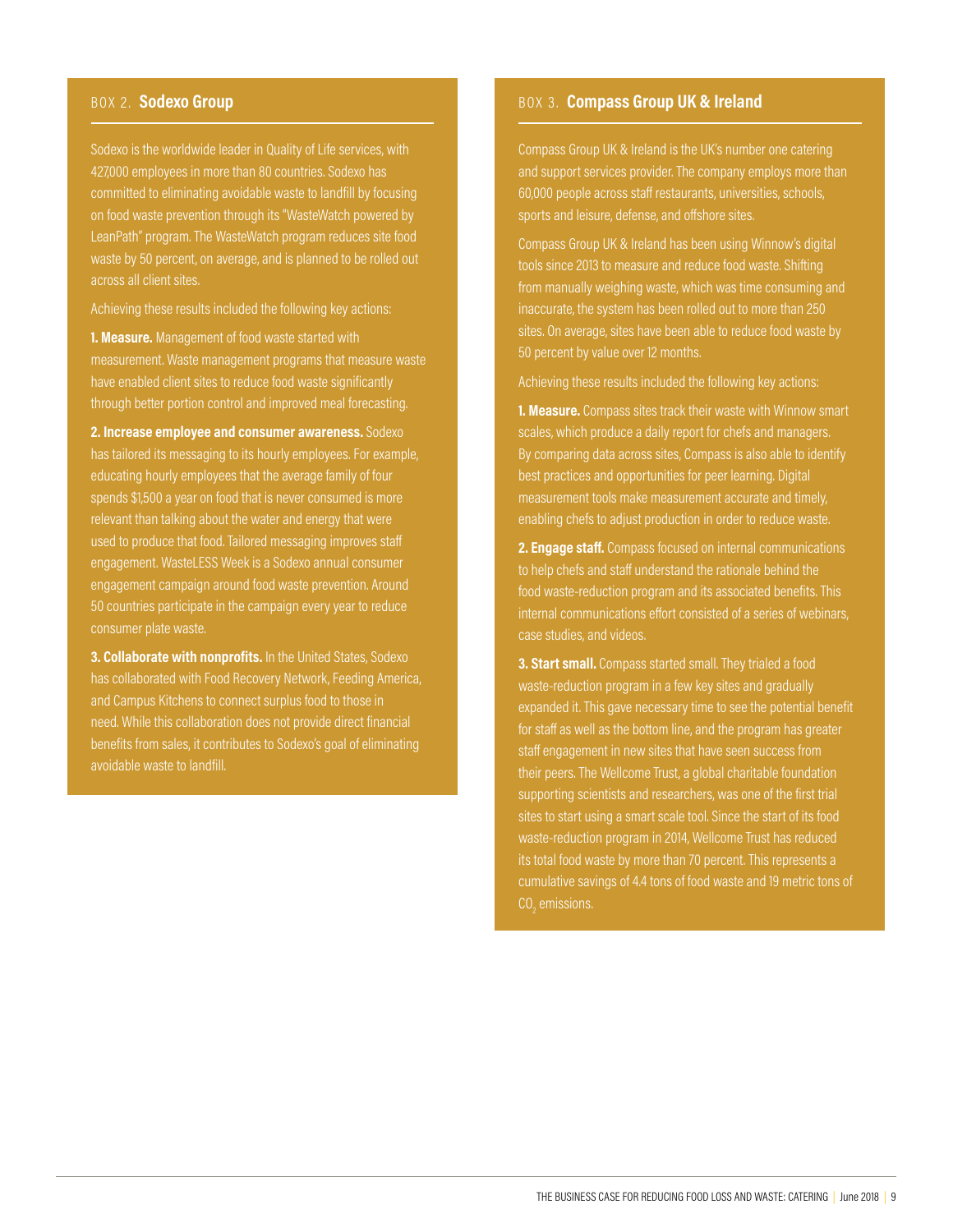Sodexo is the worldwide leader in Quality of Life services, with 427,000 employees in more than 80 countries. Sodexo has committed to eliminating avoidable waste to landfill by focusing on food waste prevention through its "WasteWatch powered by LeanPath" program. The WasteWatch program reduces site food waste by 50 percent, on average, and is planned to be rolled out across all client sites.

Achieving these results included the following key actions:

**1. Measure.** Management of food waste started with measurement. Waste management programs that measure waste have enabled client sites to reduce food waste significantly through better portion control and improved meal forecasting.

**2. Increase employee and consumer awareness.** Sodexo has tailored its messaging to its hourly employees. For example, educating hourly employees that the average family of four spends \$1,500 a year on food that is never consumed is more relevant than talking about the water and energy that were used to produce that food. Tailored messaging improves staff engagement. WasteLESS Week is a Sodexo annual consumer engagement campaign around food waste prevention. Around 50 countries participate in the campaign every year to reduce consumer plate waste.

**3. Collaborate with nonprofits.** In the United States, Sodexo has collaborated with Food Recovery Network, Feeding America, and Campus Kitchens to connect surplus food to those in need. While this collaboration does not provide direct financial benefits from sales, it contributes to Sodexo's goal of eliminating avoidable waste to landfill.

#### BOX 2. Sodexo Group **BOX 3. Compass Group UK & Ireland**

Compass Group UK & Ireland is the UK's number one catering and support services provider. The company employs more than 60,000 people across staff restaurants, universities, schools, sports and leisure, defense, and offshore sites.

Compass Group UK & Ireland has been using Winnow's digital tools since 2013 to measure and reduce food waste. Shifting from manually weighing waste, which was time consuming and inaccurate, the system has been rolled out to more than 250 sites. On average, sites have been able to reduce food waste by 50 percent by value over 12 months.

Achieving these results included the following key actions:

**1. Measure.** Compass sites track their waste with Winnow smart scales, which produce a daily report for chefs and managers. By comparing data across sites, Compass is also able to identify best practices and opportunities for peer learning. Digital measurement tools make measurement accurate and timely, enabling chefs to adjust production in order to reduce waste.

**2. Engage staff.** Compass focused on internal communications to help chefs and staff understand the rationale behind the food waste-reduction program and its associated benefits. This internal communications effort consisted of a series of webinars, case studies, and videos.

**3. Start small.** Compass started small. They trialed a food waste-reduction program in a few key sites and gradually expanded it. This gave necessary time to see the potential benefit for staff as well as the bottom line, and the program has greater staff engagement in new sites that have seen success from their peers. The Wellcome Trust, a global charitable foundation supporting scientists and researchers, was one of the first trial sites to start using a smart scale tool. Since the start of its food waste-reduction program in 2014, Wellcome Trust has reduced its total food waste by more than 70 percent. This represents a cumulative savings of 4.4 tons of food waste and 19 metric tons of  $\text{CO}_2$  emissions.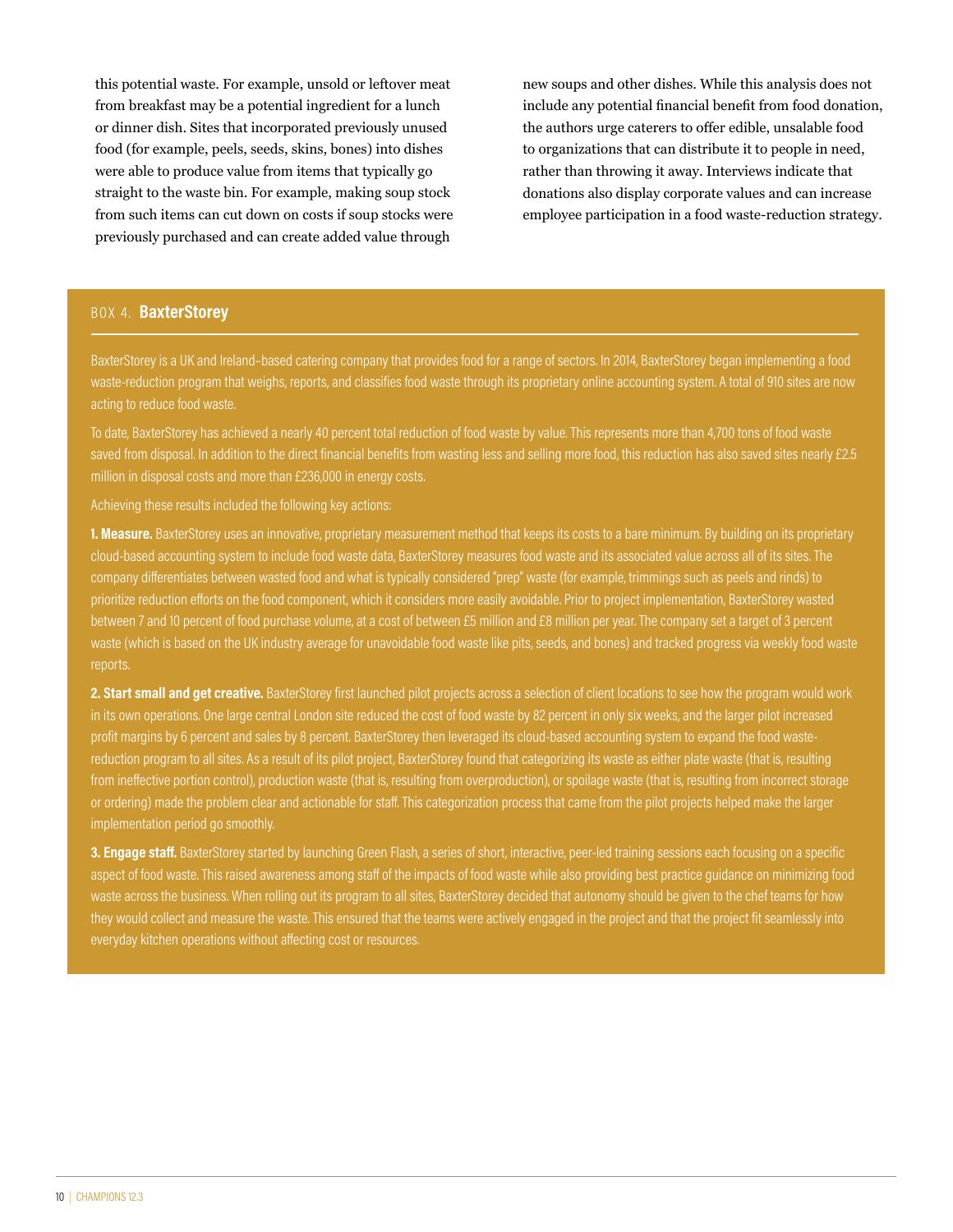this potential waste. For example, unsold or leftover meat from breakfast may be a potential ingredient for a lunch or dinner dish. Sites that incorporated previously unused food (for example, peels, seeds, skins, bones) into dishes were able to produce value from items that typically go straight to the waste bin. For example, making soup stock from such items can cut down on costs if soup stocks were previously purchased and can create added value through

new soups and other dishes. While this analysis does not include any potential financial benefit from food donation, the authors urge caterers to offer edible, unsalable food to organizations that can distribute it to people in need, rather than throwing it away. Interviews indicate that donations also display corporate values and can increase employee participation in a food waste-reduction strategy.

#### BOX 4. **BaxterStorey**

BaxterStorey is a UK and Ireland–based catering company that provides food for a range of sectors. In 2014, BaxterStorey began implementing a food waste-reduction program that weighs, reports, and classifies food waste through its proprietary online accounting system. A total of 910 sites are now acting to reduce food waste.

To date, BaxterStorey has achieved a nearly 40 percent total reduction of food waste by value. This represents more than 4,700 tons of food waste saved from disposal. In addition to the direct financial benefits from wasting less and selling more food, this reduction has also saved sites nearly £2.5 million in disposal costs and more than £236,000 in energy costs.

Achieving these results included the following key actions:

**1. Measure.** BaxterStorey uses an innovative, proprietary measurement method that keeps its costs to a bare minimum. By building on its proprietary cloud-based accounting system to include food waste data, BaxterStorey measures food waste and its associated value across all of its sites. The company differentiates between wasted food and what is typically considered "prep" waste (for example, trimmings such as peels and rinds) to prioritize reduction efforts on the food component, which it considers more easily avoidable. Prior to project implementation, BaxterStorey wasted between 7 and 10 percent of food purchase volume, at a cost of between £5 million and £8 million per year. The company set a target of 3 percent waste (which is based on the UK industry average for unavoidable food waste like pits, seeds, and bones) and tracked progress via weekly food waste reports.

**2. Start small and get creative.** BaxterStorey first launched pilot projects across a selection of client locations to see how the program would work in its own operations. One large central London site reduced the cost of food waste by 82 percent in only six weeks, and the larger pilot increased profit margins by 6 percent and sales by 8 percent. BaxterStorey then leveraged its cloud-based accounting system to expand the food wastereduction program to all sites. As a result of its pilot project, BaxterStorey found that categorizing its waste as either plate waste (that is, resulting from ineffective portion control), production waste (that is, resulting from overproduction), or spoilage waste (that is, resulting from incorrect storage or ordering) made the problem clear and actionable for staff. This categorization process that came from the pilot projects helped make the larger implementation period go smoothly.

**3. Engage staff.** BaxterStorey started by launching Green Flash, a series of short, interactive, peer-led training sessions each focusing on a specific aspect of food waste. This raised awareness among staff of the impacts of food waste while also providing best practice guidance on minimizing food waste across the business. When rolling out its program to all sites, BaxterStorey decided that autonomy should be given to the chef teams for how they would collect and measure the waste. This ensured that the teams were actively engaged in the project and that the project fit seamlessly into everyday kitchen operations without affecting cost or resources.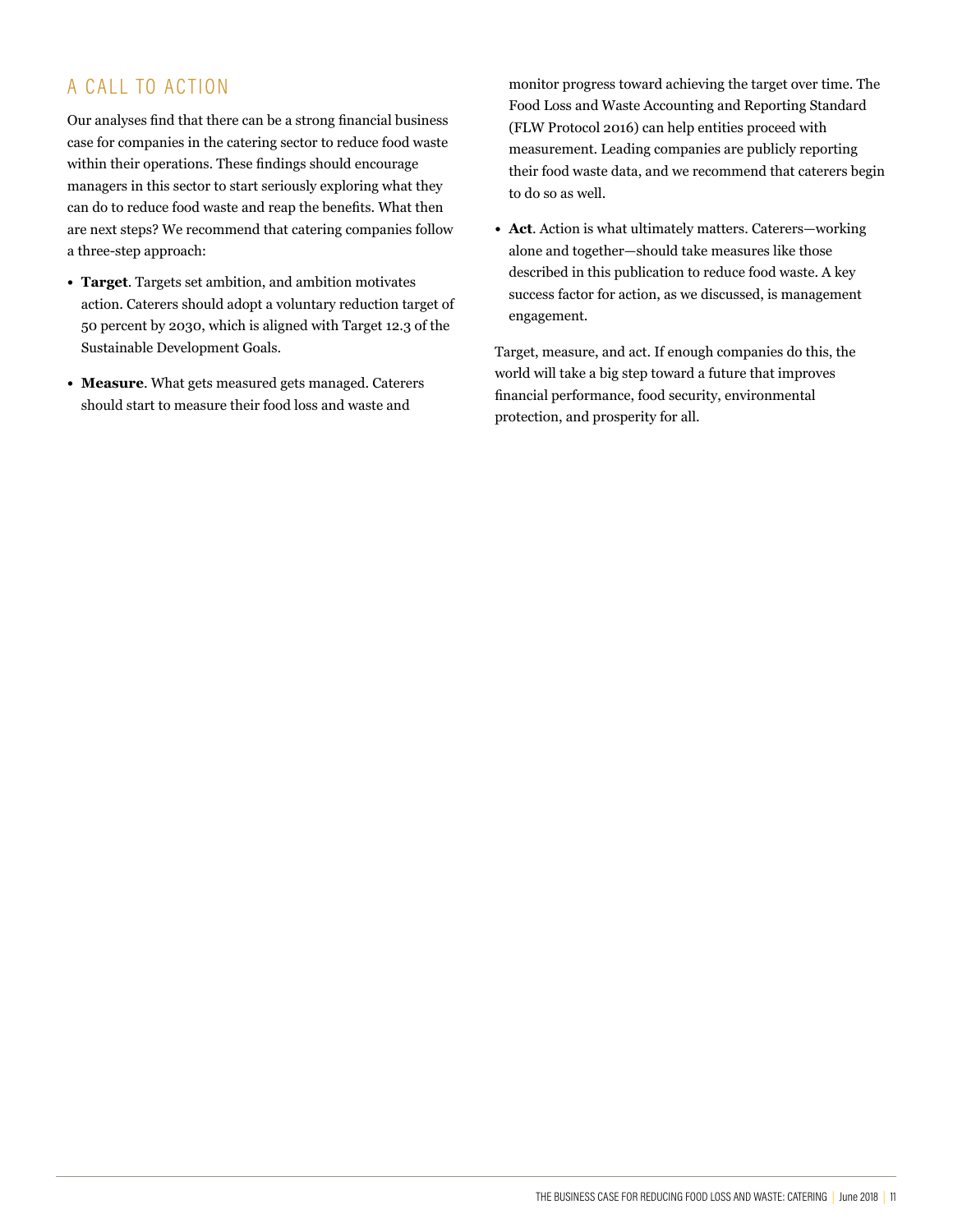# A CALL TO ACTION

Our analyses find that there can be a strong financial business case for companies in the catering sector to reduce food waste within their operations. These findings should encourage managers in this sector to start seriously exploring what they can do to reduce food waste and reap the benefits. What then are next steps? We recommend that catering companies follow a three-step approach:

- **• Target**. Targets set ambition, and ambition motivates action. Caterers should adopt a voluntary reduction target of 50 percent by 2030, which is aligned with Target 12.3 of the Sustainable Development Goals.
- **• Measure**. What gets measured gets managed. Caterers should start to measure their food loss and waste and

monitor progress toward achieving the target over time. The Food Loss and Waste Accounting and Reporting Standard (FLW Protocol 2016) can help entities proceed with measurement. Leading companies are publicly reporting their food waste data, and we recommend that caterers begin to do so as well.

**• Act**. Action is what ultimately matters. Caterers—working alone and together—should take measures like those described in this publication to reduce food waste. A key success factor for action, as we discussed, is management engagement.

Target, measure, and act. If enough companies do this, the world will take a big step toward a future that improves financial performance, food security, environmental protection, and prosperity for all.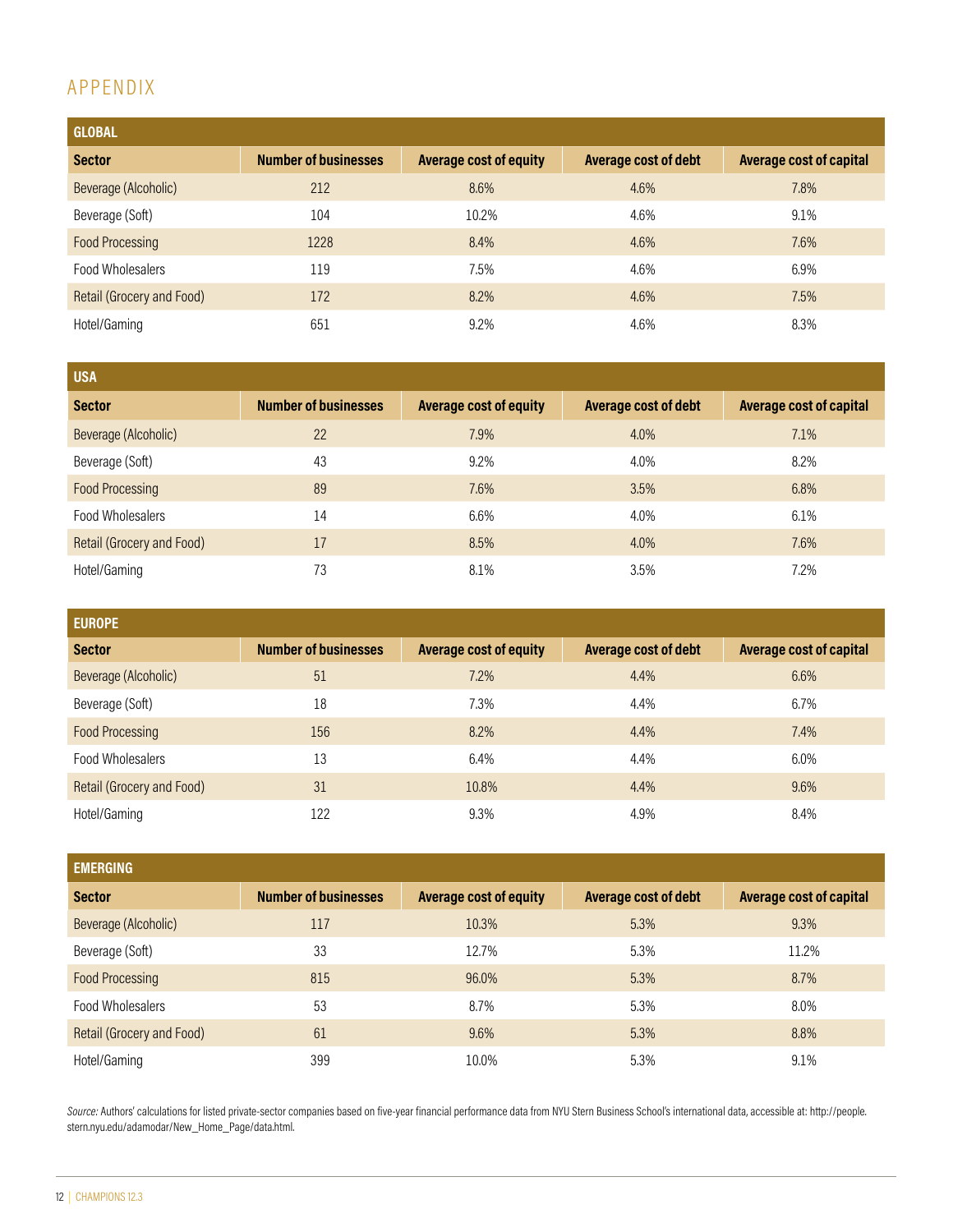# APPENDIX

| <b>GLOBAL</b>             |                             |                               |                      |                                |
|---------------------------|-----------------------------|-------------------------------|----------------------|--------------------------------|
| <b>Sector</b>             | <b>Number of businesses</b> | <b>Average cost of equity</b> | Average cost of debt | <b>Average cost of capital</b> |
| Beverage (Alcoholic)      | 212                         | 8.6%                          | 4.6%                 | 7.8%                           |
| Beverage (Soft)           | 104                         | 10.2%                         | 4.6%                 | 9.1%                           |
| <b>Food Processing</b>    | 1228                        | 8.4%                          | 4.6%                 | 7.6%                           |
| Food Wholesalers          | 119                         | 7.5%                          | 4.6%                 | 6.9%                           |
| Retail (Grocery and Food) | 172                         | 8.2%                          | 4.6%                 | 7.5%                           |
| Hotel/Gaming              | 651                         | 9.2%                          | 4.6%                 | 8.3%                           |

| <b>USA</b>                |                             |                               |                      |                                |
|---------------------------|-----------------------------|-------------------------------|----------------------|--------------------------------|
| <b>Sector</b>             | <b>Number of businesses</b> | <b>Average cost of equity</b> | Average cost of debt | <b>Average cost of capital</b> |
| Beverage (Alcoholic)      | 22                          | 7.9%                          | 4.0%                 | 7.1%                           |
| Beverage (Soft)           | 43                          | 9.2%                          | 4.0%                 | 8.2%                           |
| <b>Food Processing</b>    | 89                          | 7.6%                          | 3.5%                 | 6.8%                           |
| Food Wholesalers          | 14                          | 6.6%                          | 4.0%                 | 6.1%                           |
| Retail (Grocery and Food) | 17                          | 8.5%                          | 4.0%                 | 7.6%                           |
| Hotel/Gaming              | 73                          | 8.1%                          | 3.5%                 | 7.2%                           |

| <b>EUROPE</b>             |                             |                               |                             |                                |
|---------------------------|-----------------------------|-------------------------------|-----------------------------|--------------------------------|
| <b>Sector</b>             | <b>Number of businesses</b> | <b>Average cost of equity</b> | <b>Average cost of debt</b> | <b>Average cost of capital</b> |
| Beverage (Alcoholic)      | 51                          | 7.2%                          | 4.4%                        | 6.6%                           |
| Beverage (Soft)           | 18                          | 7.3%                          | 4.4%                        | 6.7%                           |
| <b>Food Processing</b>    | 156                         | 8.2%                          | 4.4%                        | 7.4%                           |
| Food Wholesalers          | 13                          | 6.4%                          | 4.4%                        | 6.0%                           |
| Retail (Grocery and Food) | 31                          | 10.8%                         | 4.4%                        | 9.6%                           |
| Hotel/Gaming              | 122                         | 9.3%                          | 4.9%                        | 8.4%                           |

| <b>EMERGING</b>                  |                             |                               |                      |                                |
|----------------------------------|-----------------------------|-------------------------------|----------------------|--------------------------------|
| <b>Sector</b>                    | <b>Number of businesses</b> | <b>Average cost of equity</b> | Average cost of debt | <b>Average cost of capital</b> |
| Beverage (Alcoholic)             | 117                         | 10.3%                         | 5.3%                 | 9.3%                           |
| Beverage (Soft)                  | 33                          | 12.7%                         | 5.3%                 | 11.2%                          |
| <b>Food Processing</b>           | 815                         | 96.0%                         | 5.3%                 | 8.7%                           |
| Food Wholesalers                 | 53                          | 8.7%                          | 5.3%                 | 8.0%                           |
| <b>Retail (Grocery and Food)</b> | 61                          | 9.6%                          | 5.3%                 | 8.8%                           |
| Hotel/Gaming                     | 399                         | 10.0%                         | 5.3%                 | 9.1%                           |

Source: Authors' calculations for listed private-sector companies based on five-year financial performance data from NYU Stern Business School's international data, accessible at: http://people. stern.nyu.edu/adamodar/New\_Home\_Page/data.html.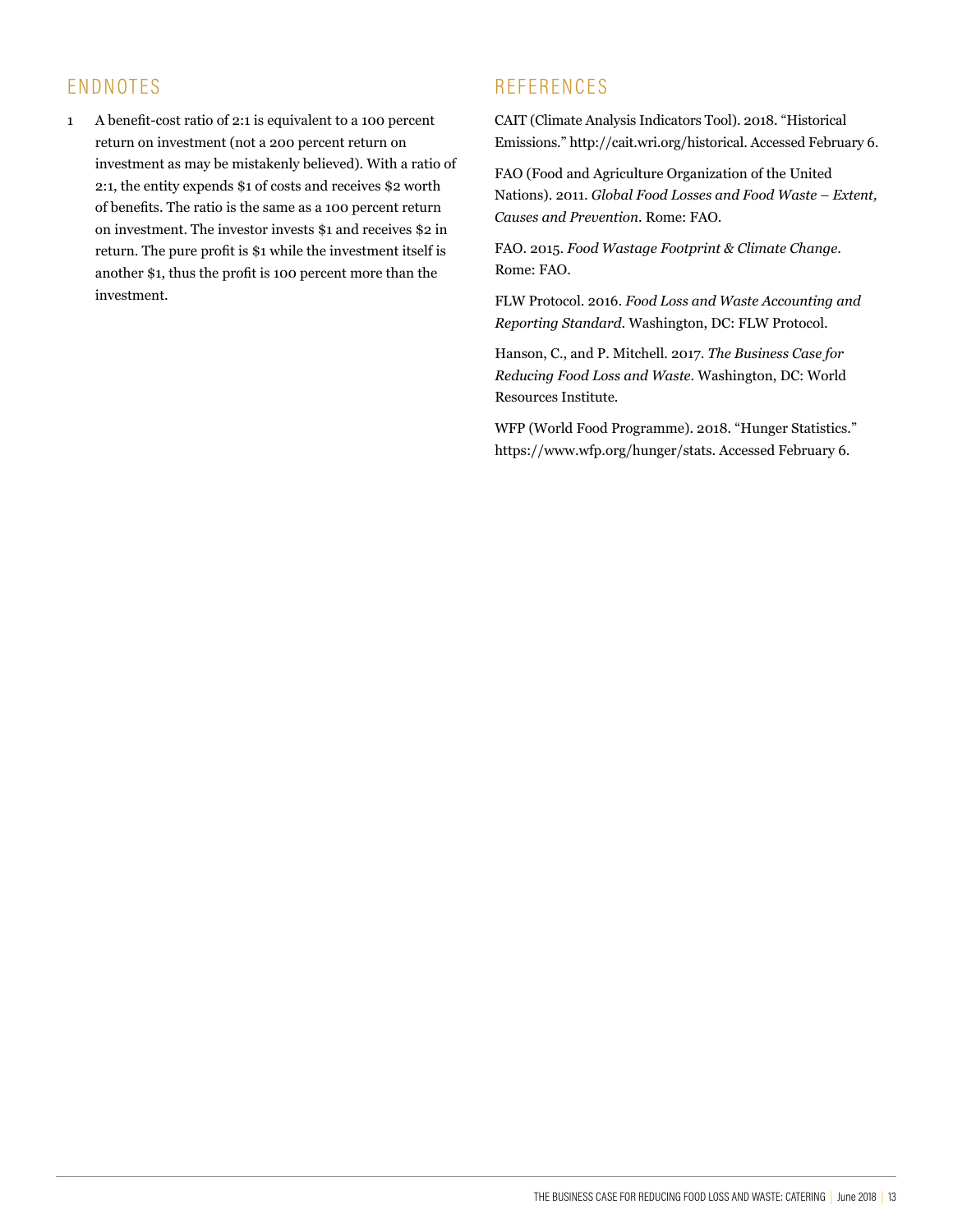# ENDNOTES

1 A benefit-cost ratio of 2:1 is equivalent to a 100 percent return on investment (not a 200 percent return on investment as may be mistakenly believed). With a ratio of 2:1, the entity expends \$1 of costs and receives \$2 worth of benefits. The ratio is the same as a 100 percent return on investment. The investor invests \$1 and receives \$2 in return. The pure profit is \$1 while the investment itself is another \$1, thus the profit is 100 percent more than the investment.

# **REFERENCES**

CAIT (Climate Analysis Indicators Tool). 2018. "Historical Emissions." http://cait.wri.org/historical. Accessed February 6.

FAO (Food and Agriculture Organization of the United Nations). 2011. *Global Food Losses and Food Waste – Extent, Causes and Prevention*. Rome: FAO.

FAO. 2015. *Food Wastage Footprint & Climate Change*. Rome: FAO.

FLW Protocol. 2016. *Food Loss and Waste Accounting and Reporting Standard*. Washington, DC: FLW Protocol.

Hanson, C., and P. Mitchell. 2017. *The Business Case for Reducing Food Loss and Waste*. Washington, DC: World Resources Institute.

WFP (World Food Programme). 2018. "Hunger Statistics." https://www.wfp.org/hunger/stats. Accessed February 6.